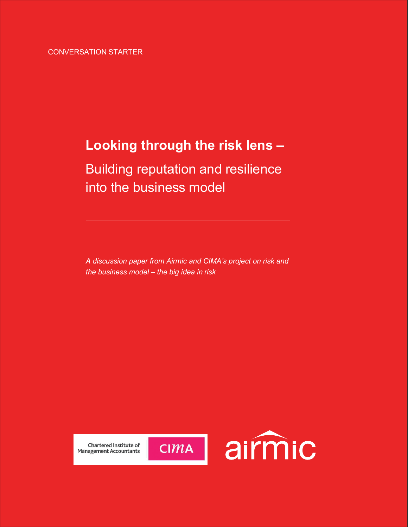# **Looking through the risk lens –**

# Building reputation and resilience into the business model

*A discussion paper from Airmic and CIMA's project on risk and the business model – the big idea in risk*



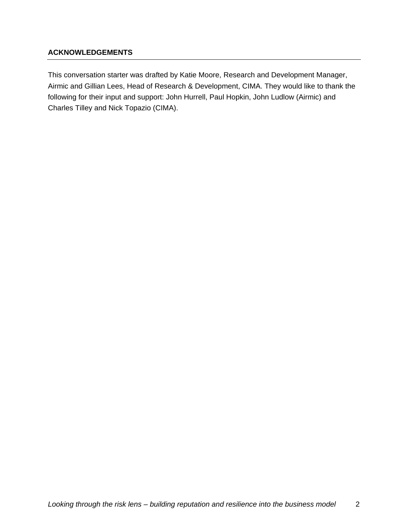## **ACKNOWLEDGEMENTS**

This conversation starter was drafted by Katie Moore, Research and Development Manager, Airmic and Gillian Lees, Head of Research & Development, CIMA. They would like to thank the following for their input and support: John Hurrell, Paul Hopkin, John Ludlow (Airmic) and Charles Tilley and Nick Topazio (CIMA).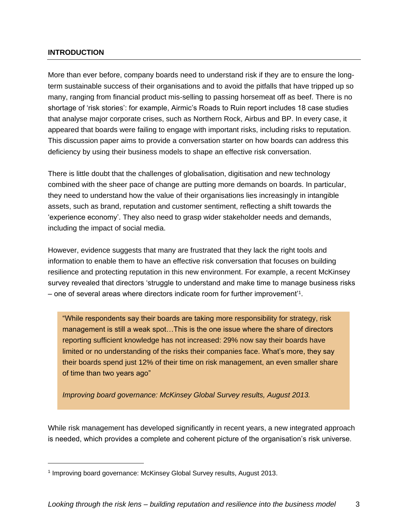## **INTRODUCTION**

More than ever before, company boards need to understand risk if they are to ensure the longterm sustainable success of their organisations and to avoid the pitfalls that have tripped up so many, ranging from financial product mis-selling to passing horsemeat off as beef. There is no shortage of 'risk stories': for example, Airmic's Roads to Ruin report includes 18 case studies that analyse major corporate crises, such as Northern Rock, Airbus and BP. In every case, it appeared that boards were failing to engage with important risks, including risks to reputation. This discussion paper aims to provide a conversation starter on how boards can address this deficiency by using their business models to shape an effective risk conversation.

There is little doubt that the challenges of globalisation, digitisation and new technology combined with the sheer pace of change are putting more demands on boards. In particular, they need to understand how the value of their organisations lies increasingly in intangible assets, such as brand, reputation and customer sentiment, reflecting a shift towards the 'experience economy'. They also need to grasp wider stakeholder needs and demands, including the impact of social media.

However, evidence suggests that many are frustrated that they lack the right tools and information to enable them to have an effective risk conversation that focuses on building resilience and protecting reputation in this new environment. For example, a recent McKinsey survey revealed that directors 'struggle to understand and make time to manage business risks - one of several areas where directors indicate room for further improvement<sup>11</sup>.

"While respondents say their boards are taking more responsibility for strategy, risk management is still a weak spot…This is the one issue where the share of directors reporting sufficient knowledge has not increased: 29% now say their boards have limited or no understanding of the risks their companies face. What's more, they say their boards spend just 12% of their time on risk management, an even smaller share of time than two years ago"

*Improving board governance: McKinsey Global Survey results, August 2013.*

While risk management has developed significantly in recent years, a new integrated approach is needed, which provides a complete and coherent picture of the organisation's risk universe.

<sup>&</sup>lt;sup>1</sup> Improving board governance: McKinsey Global Survey results, August 2013.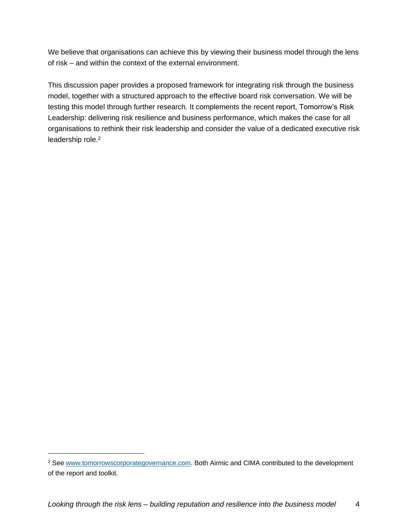We believe that organisations can achieve this by viewing their business model through the lens of risk – and within the context of the external environment.

This discussion paper provides a proposed framework for integrating risk through the business model, together with a structured approach to the effective board risk conversation. We will be testing this model through further research. It complements the recent report, Tomorrow's Risk Leadership: delivering risk resilience and business performance, which makes the case for all organisations to rethink their risk leadership and consider the value of a dedicated executive risk leadership role.<sup>2</sup>

<sup>&</sup>lt;sup>2</sup> See [www.tomorrowscorporategovernance.com.](http://www.tomorrowscorporategovernance.com/) Both Airmic and CIMA contributed to the development of the report and toolkit.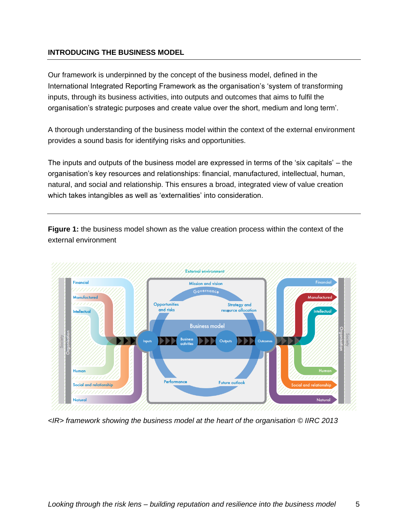## **INTRODUCING THE BUSINESS MODEL**

Our framework is underpinned by the concept of the business model, defined in the International Integrated Reporting Framework as the organisation's 'system of transforming inputs, through its business activities, into outputs and outcomes that aims to fulfil the organisation's strategic purposes and create value over the short, medium and long term'.

A thorough understanding of the business model within the context of the external environment provides a sound basis for identifying risks and opportunities.

The inputs and outputs of the business model are expressed in terms of the 'six capitals' – the organisation's key resources and relationships: financial, manufactured, intellectual, human, natural, and social and relationship. This ensures a broad, integrated view of value creation which takes intangibles as well as 'externalities' into consideration.

**Figure 1:** the business model shown as the value creation process within the context of the external environment



*<IR> framework showing the business model at the heart of the organisation © IIRC 2013*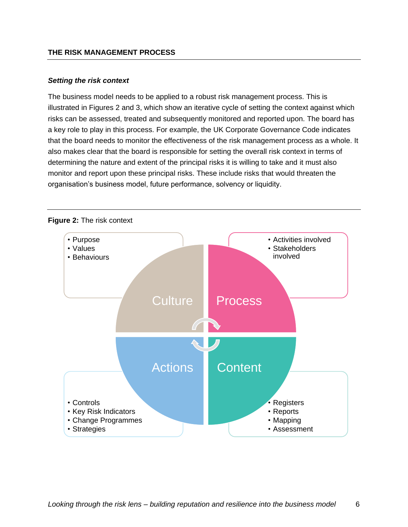#### *Setting the risk context*

The business model needs to be applied to a robust risk management process. This is illustrated in Figures 2 and 3, which show an iterative cycle of setting the context against which risks can be assessed, treated and subsequently monitored and reported upon. The board has a key role to play in this process. For example, the UK Corporate Governance Code indicates that the board needs to monitor the effectiveness of the risk management process as a whole. It also makes clear that the board is responsible for setting the overall risk context in terms of determining the nature and extent of the principal risks it is willing to take and it must also monitor and report upon these principal risks. These include risks that would threaten the organisation's business model, future performance, solvency or liquidity.

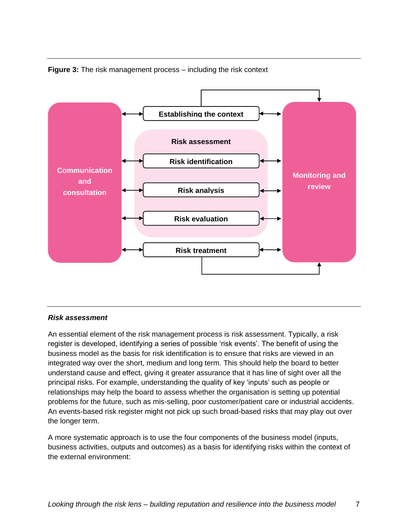



### *Risk assessment*

An essential element of the risk management process is risk assessment. Typically, a risk register is developed, identifying a series of possible 'risk events'. The benefit of using the business model as the basis for risk identification is to ensure that risks are viewed in an integrated way over the short, medium and long term. This should help the board to better understand cause and effect, giving it greater assurance that it has line of sight over all the principal risks. For example, understanding the quality of key 'inputs' such as people or relationships may help the board to assess whether the organisation is setting up potential problems for the future, such as mis-selling, poor customer/patient care or industrial accidents. An events-based risk register might not pick up such broad-based risks that may play out over the longer term.

A more systematic approach is to use the four components of the business model (inputs, business activities, outputs and outcomes) as a basis for identifying risks within the context of the external environment: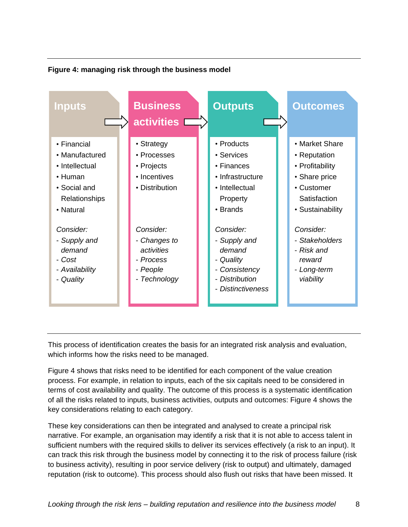## **Figure 4: managing risk through the business model**



This process of identification creates the basis for an integrated risk analysis and evaluation, which informs how the risks need to be managed.

Figure 4 shows that risks need to be identified for each component of the value creation process. For example, in relation to inputs, each of the six capitals need to be considered in terms of cost availability and quality. The outcome of this process is a systematic identification of all the risks related to inputs, business activities, outputs and outcomes: Figure 4 shows the key considerations relating to each category.

These key considerations can then be integrated and analysed to create a principal risk narrative. For example, an organisation may identify a risk that it is not able to access talent in sufficient numbers with the required skills to deliver its services effectively (a risk to an input). It can track this risk through the business model by connecting it to the risk of process failure (risk to business activity), resulting in poor service delivery (risk to output) and ultimately, damaged reputation (risk to outcome). This process should also flush out risks that have been missed. It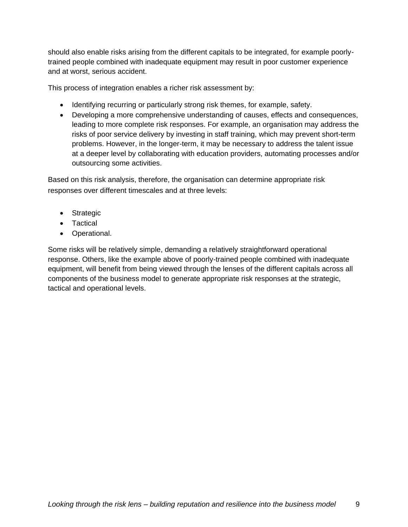should also enable risks arising from the different capitals to be integrated, for example poorlytrained people combined with inadequate equipment may result in poor customer experience and at worst, serious accident.

This process of integration enables a richer risk assessment by:

- Identifying recurring or particularly strong risk themes, for example, safety.
- Developing a more comprehensive understanding of causes, effects and consequences, leading to more complete risk responses. For example, an organisation may address the risks of poor service delivery by investing in staff training, which may prevent short-term problems. However, in the longer-term, it may be necessary to address the talent issue at a deeper level by collaborating with education providers, automating processes and/or outsourcing some activities.

Based on this risk analysis, therefore, the organisation can determine appropriate risk responses over different timescales and at three levels:

- Strategic
- Tactical
- Operational.

Some risks will be relatively simple, demanding a relatively straightforward operational response. Others, like the example above of poorly-trained people combined with inadequate equipment, will benefit from being viewed through the lenses of the different capitals across all components of the business model to generate appropriate risk responses at the strategic, tactical and operational levels.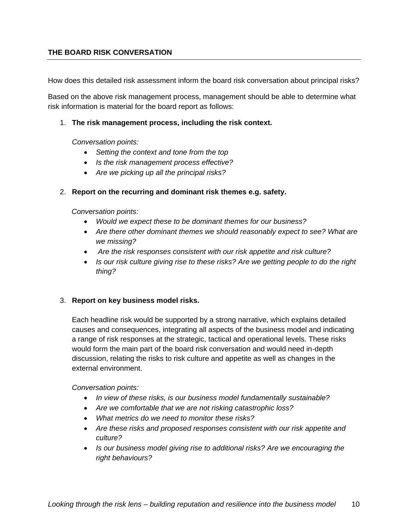## **THE BOARD RISK CONVERSATION**

How does this detailed risk assessment inform the board risk conversation about principal risks?

Based on the above risk management process, management should be able to determine what risk information is material for the board report as follows:

#### 1. **The risk management process, including the risk context.**

*Conversation points:* 

- *Setting the context and tone from the top*
- *Is the risk management process effective?*
- *Are we picking up all the principal risks?*

### 2. **Report on the recurring and dominant risk themes e.g. safety.**

*Conversation points:* 

- *Would we expect these to be dominant themes for our business?*
- *Are there other dominant themes we should reasonably expect to see? What are we missing?*
- *Are the risk responses consistent with our risk appetite and risk culture?*
- *Is our risk culture giving rise to these risks? Are we getting people to do the right thing?*

### 3. **Report on key business model risks.**

Each headline risk would be supported by a strong narrative, which explains detailed causes and consequences, integrating all aspects of the business model and indicating a range of risk responses at the strategic, tactical and operational levels. These risks would form the main part of the board risk conversation and would need in-depth discussion, relating the risks to risk culture and appetite as well as changes in the external environment.

*Conversation points:*

- *In view of these risks, is our business model fundamentally sustainable?*
- *Are we comfortable that we are not risking catastrophic loss?*
- *What metrics do we need to monitor these risks?*
- *Are these risks and proposed responses consistent with our risk appetite and culture?*
- *Is our business model giving rise to additional risks? Are we encouraging the right behaviours?*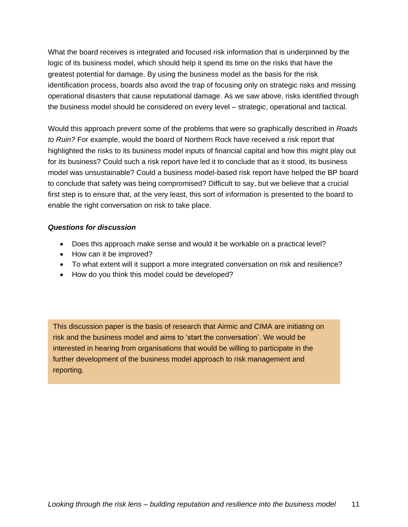What the board receives is integrated and focused risk information that is underpinned by the logic of its business model, which should help it spend its time on the risks that have the greatest potential for damage. By using the business model as the basis for the risk identification process, boards also avoid the trap of focusing only on strategic risks and missing operational disasters that cause reputational damage. As we saw above, risks identified through the business model should be considered on every level – strategic, operational and tactical.

Would this approach prevent some of the problems that were so graphically described in *Roads to Ruin?* For example, would the board of Northern Rock have received a risk report that highlighted the risks to its business model inputs of financial capital and how this might play out for its business? Could such a risk report have led it to conclude that as it stood, its business model was unsustainable? Could a business model-based risk report have helped the BP board to conclude that safety was being compromised? Difficult to say, but we believe that a crucial first step is to ensure that, at the very least, this sort of information is presented to the board to enable the right conversation on risk to take place.

## *Questions for discussion*

- Does this approach make sense and would it be workable on a practical level?
- How can it be improved?
- To what extent will it support a more integrated conversation on risk and resilience?
- How do you think this model could be developed?

This discussion paper is the basis of research that Airmic and CIMA are initiating on risk and the business model and aims to 'start the conversation'. We would be interested in hearing from organisations that would be willing to participate in the further development of the business model approach to risk management and reporting.